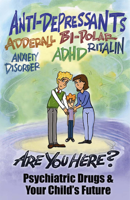# ANTI-DEPRESSANTS ANXIETY

# **Psychiatric Drugs & Your Child's Future**

ARE YOU HERE?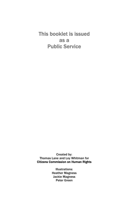This booklet is issued as a Public Service

Created by: Thomas Lane and Loy Whitman for Citizens Commission on Human Rights

> Illustrations: Heather Magness Jackie Magness Peter Green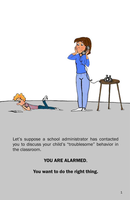

Let's suppose a school administrator has contacted you to discuss your child's "troublesome" behavior in the classroom.

#### YOU ARE ALARMED.

You want to do the right thing.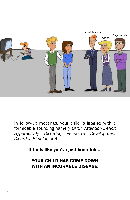

In follow-up meetings, your child is labeled with a formidable sounding name *(ADHD: Attention Deficit Hyperactivity Disorder, Pervasive Development Disorder, Bi-polar, etc)*.

It feels like you've just been told...

YOUR CHILD HAS COME DOWN WITH AN INCURABLE DISEASE.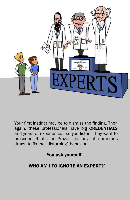

Your first instinct may be to dismiss the finding. Then again, these professionals have big **CREDENTIALS** and years of experience… so you listen. They want to prescribe Ritalin or Prozac (or any of numerous drugs) to fix the "disturbing" behavior.

You ask yourself...

# "WHO AM I TO IGNORE AN EXPERT?"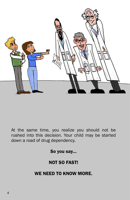

At the same time, you realize you should not be rushed into this decision. Your child may be started down a road of drug dependency.

So you say...

#### NOT SO FAST!

# WE NEED TO KNOW MORE.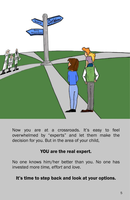

Now you are at a crossroads. It's easy to feel overwhelmed by "experts" and let them make the decision for you. But in the area of your child,

#### YOU are the real expert.

No one knows him/her better than you. No one has invested more *time, effort* and *love*.

#### It's time to step back and look at your options.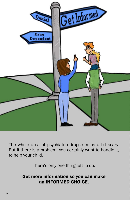

The whole area of psychiatric drugs seems a bit scary. But if there is a problem, you certainly want to handle it, to help your child.

There's only one thing left to do:

#### Get more information so you can make an INFORMED CHOICE.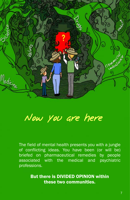

Now you are here

The field of mental health presents you with a jungle of conflicting ideas. You have been (or will be) briefed on pharmaceutical remedies by people associated with the medical and psychiatric professions.

> But there is DIVIDED OPINION within these two communities.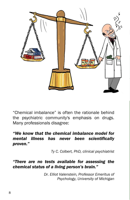

"Chemical imbalance" is often the rationale behind the psychiatric community's emphasis on drugs. Many professionals disagree:

#### *"We know that the chemical imbalance model for mental illness has never been scientifically proven."*

 *Ty C. Colbert, PhD, clinical psychiatrist*

*"There are no tests available for assessing the chemical status of a living person's brain."*

> *Dr. Elliot Valenstein, Professor Emeritus of Psychology, University of Michigan*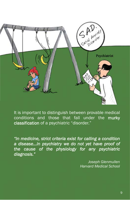

It is important to distinguish between provable medical conditions and those that fall under the murky classification of a psychiatric "disorder."

*"In medicine, strict criteria exist for calling a condition a disease…in psychiatry we do not yet have proof of the cause of the physiology for any psychiatric diagnosis."* 

> *Joseph Glenmullen Harvard Medical School*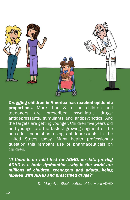

Drugging children in America has reached epidemic proportions. More than 8 million children and teenagers are prescribed psychiatric drugs: antidepressants, stimulants and antipsychotics. And the targets are getting younger. Children five years old and younger are the fastest growing segment of the non-adult population using antidepressants in the United States today. Many health professionals question this rampant use of pharmaceuticals on children.

*"If there is no valid test for ADHD, no data proving ADHD is a brain dysfunction…why in the world are millions of children, teenagers and adults…being labeled with ADHD and prescribed drugs?"* 

 *Dr. Mary Ann Block, author of* No More ADHD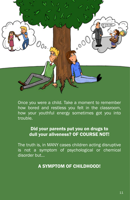

Once you were a child. Take a moment to remember how bored and restless you felt in the classroom, how your youthful energy sometimes got you into trouble.

#### Did your parents put you on drugs to dull your aliveness? OF COURSE NOT!

The truth is, in MANY cases children acting disruptive is not a symptom of psychological or chemical disorder but…

# A SYMPTOM OF CHILDHOOD!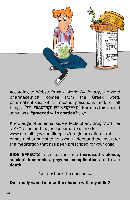

According to Webster's *New World Dictionary*, the word pharmaceutical comes from the Greek word, pharmakeutikos, which means poisonous and, of all things, "TO PRACTICE WITCHCRAFT." Perhaps this should serve as a "proceed with caution" sign.

Knowledge of potential side effects of any drug MUST be a KEY issue and major concern. Go online to: www.nlm.nih.gov/medlineplus/druginformation.html or see a pharmacist to help you understand the insert for the medication that has been prescribed for your child.

SIDE EFFECTS listed can include increased violence, suicidal tendencies, physical complications and even death.

You must ask the question...

#### Do I really want to take the chance with my child?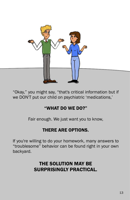

"Okay," you might say, "that's critical information but if we DON'T put our child on psychiatric 'medications,'

# "WHAT DO WE DO?"

Fair enough. We just want you to know,

# THERE ARE OPTIONS.

If you're willing to do your homework, many answers to "troublesome" behavior can be found right in your own backyard.

# THE SOLUTION MAY BE SURPRISINGLY PRACTICAL.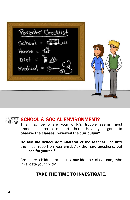Porents' Checklist  $School = \frac{1}{2}$  $Home = 1$  $Dist = B \circledast$ Medical =

# SCHOOL & SOCIAL ENVIRONMENT?

This may be where your child's trouble seems most pronounced so let's start there. Have you gone to observe the classes, reviewed the curriculum?

Go see the school administrator or the teacher who filed the initial report on your child. Ask the hard questions, but also see for yourself.

Are there children or adults outside the classroom, who invalidate your child?

# TAKE THE TIME TO INVESTIGATE*.*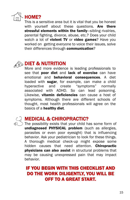

This is a sensitive area but it is vital that you be honest with yourself about these questions. Are there stressful elements within the family-sibling rivalries, parental fighting, divorce, abuse, etc.? Does your child watch a lot of violent TV or video games? Have you worked on getting everyone to voice their issues, solve their differences through communication?



# $_{\circ}$  DIET & NUTRITION

More and more evidence is leading professionals to see that poor diet and lack of exercise can have emotional and **behavioral consequences**. A diet loaded with sugar, for example, can make a child hyperactive and create "symptoms" normally associated with ADHD. So can lead poisoning. Likewise, vitamin deficiencies can cause a host of symptoms. Although there are different schools of thought, most health professionals will agree on the basics of a healthy diet.



# MEDICAL & CHIROPRACTIC?

The possibility exists that your child has some form of undiagnosed PHYSICAL problem (such as allergies, parasites or even poor eyesight) that is influencing behavior. Ask your pediatrician to look for these things. A thorough medical check-up might expose some hidden causes that need attention. **Chiropractic** physicians can also assist in structural problems that may be causing unexpressed pain that may impact behavior.

# IF YOU BEGIN WITH THIS CHECKLIST AND DO THE WORK DILIGENTLY, YOU WILL BE OFF TO A GREAT START.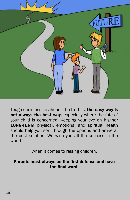

Tough decisions lie ahead. The truth is, the easy way is not always the best way, especially where the fate of your child is concerned. Keeping your eye on his/her **LONG-TERM** physical, emotional and spiritual health should help you sort through the options and arrive at the best solution. We wish you all the success in the world.

When it comes to raising children,

#### Parents must always be the first defense and have the final word.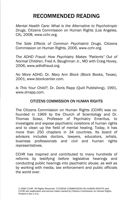# RECOMMENDED READING

*Mental Health Care: What is the Alternative to Psychotropic Drugs*, Citizens Commission on Human Rights (Los Angeles, CA), 2008, www.cchr.org.

*The Side Effects of Common Psychiatric Drugs*, Citizens Commission on Human Rights, 2006, www.cchr.org.

*The ADHD Fraud: How Psychiatry Makes "Patients" Out of Normal Children*, Fred A. Baughman Jr., MD with Craig Hovey, 2006, www.adhdfraud.org.

*No More ADHD*, Dr. Mary Ann Block (Block Books, Texas), 2001, www.blockcenter.com.

*Is This Your Child?*, Dr. Doris Rapp (Quill Publishing), 1991, www.drrapp.com.

#### CITIZENS COMMISSION ON HUMAN RIGHTS

The Citizens Commission on Human Rights (CCHR) was cofounded in 1969 by the Church of Scientology and Dr. Thomas Szasz, Professor of Psychiatry Emeritus, to investigate and expose psychiatric violations of human rights and to clean up the field of mental healing. Today, it has more than 250 chapters in 34 countries. Its board of advisors includes doctors, lawyers, educators, artists, business professionals and civil and human rights representatives.

CCHR has inspired and contributed to many hundreds of reforms by testifying before legislative hearings and conducting public hearings into psychiatric abuse, as well as by working with media, law enforcement and public officials the world over.